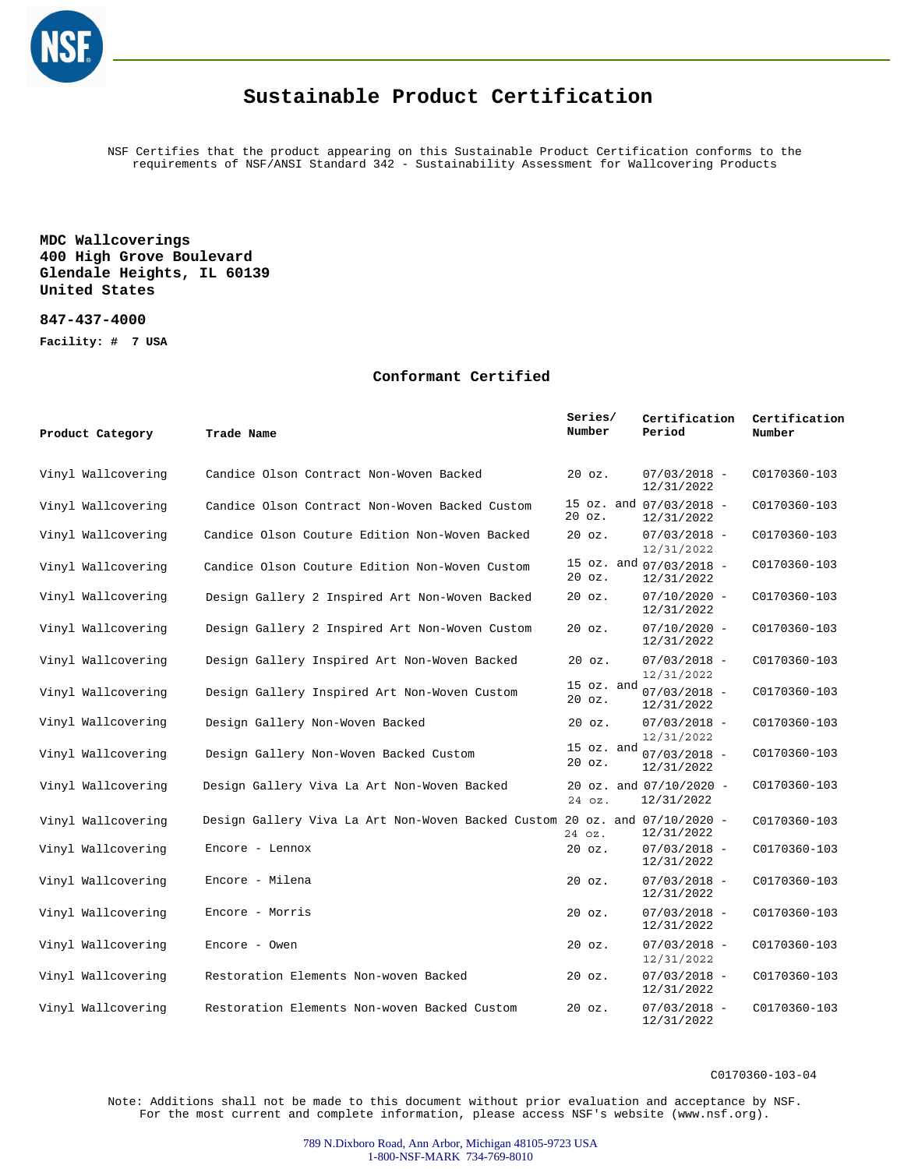

## **Sustainable Product Certification**

NSF Certifies that the product appearing on this Sustainable Product Certification conforms to the requirements of NSF/ANSI Standard 342 - Sustainability Assessment for Wallcovering Products

**MDC Wallcoverings 400 High Grove Boulevard Glendale Heights, IL 60139 United States**

**847-437-4000**

**Facility: # 7 USA**

## **Conformant Certified**

| Product Category   | Trade Name                                                                 | Series/<br>Number |                | Certification<br>Period                 | Certification<br>Number |
|--------------------|----------------------------------------------------------------------------|-------------------|----------------|-----------------------------------------|-------------------------|
| Vinyl Wallcovering | Candice Olson Contract Non-Woven Backed                                    | $20$ $oz.$        |                | $07/03/2018 -$<br>12/31/2022            | C0170360-103            |
| Vinyl Wallcovering | Candice Olson Contract Non-Woven Backed Custom                             | $20$ $oz.$        |                | 15 oz. and 07/03/2018 -<br>12/31/2022   | C0170360-103            |
| Vinyl Wallcovering | Candice Olson Couture Edition Non-Woven Backed                             | $20$ $oz.$        |                | $07/03/2018 -$<br>12/31/2022            | C0170360-103            |
| Vinyl Wallcovering | Candice Olson Couture Edition Non-Woven Custom                             | $20$ $oz.$        |                | 15 oz. and 07/03/2018 -<br>12/31/2022   | C0170360-103            |
| Vinyl Wallcovering | Design Gallery 2 Inspired Art Non-Woven Backed                             | $20$ $oz.$        |                | $07/10/2020 -$<br>12/31/2022            | C0170360-103            |
| Vinyl Wallcovering | Design Gallery 2 Inspired Art Non-Woven Custom                             | $20$ $oz.$        |                | $07/10/2020 -$<br>12/31/2022            | C0170360-103            |
| Vinyl Wallcovering | Design Gallery Inspired Art Non-Woven Backed                               | $20$ $oz.$        |                | $07/03/2018 -$<br>12/31/2022            | C0170360-103            |
| Vinyl Wallcovering | Design Gallery Inspired Art Non-Woven Custom                               | $20$ $oz.$        | 15 oz. and     | $07/03/2018 -$<br>12/31/2022            | C0170360-103            |
| Vinyl Wallcovering | Design Gallery Non-Woven Backed                                            | $20$ $oz.$        |                | $07/03/2018 -$<br>12/31/2022            | C0170360-103            |
| Vinyl Wallcovering | Design Gallery Non-Woven Backed Custom                                     | $20$ $oz.$        | $15$ $oz.$ and | $07/03/2018 -$<br>12/31/2022            | C0170360-103            |
| Vinyl Wallcovering | Design Gallery Viva La Art Non-Woven Backed                                | 24 oz.            |                | 20 oz. and $07/10/2020$ -<br>12/31/2022 | C0170360-103            |
| Vinyl Wallcovering | Design Gallery Viva La Art Non-Woven Backed Custom 20 oz. and 07/10/2020 - | 24 oz.            |                | 12/31/2022                              | C0170360-103            |
| Vinyl Wallcovering | Encore - Lennox                                                            | $20$ $oz.$        |                | $07/03/2018 -$<br>12/31/2022            | C0170360-103            |
| Vinyl Wallcovering | Encore - Milena                                                            | $20$ $oz.$        |                | $07/03/2018 -$<br>12/31/2022            | C0170360-103            |
| Vinyl Wallcovering | Encore - Morris                                                            | $20$ $oz.$        |                | $07/03/2018 -$<br>12/31/2022            | C0170360-103            |
| Vinyl Wallcovering | Encore - Owen                                                              | $20$ $oz.$        |                | $07/03/2018 -$<br>12/31/2022            | C0170360-103            |
| Vinyl Wallcovering | Restoration Elements Non-woven Backed                                      | $20$ $oz.$        |                | $07/03/2018 -$<br>12/31/2022            | C0170360-103            |
| Vinyl Wallcovering | Restoration Elements Non-woven Backed Custom                               | $20$ $oz.$        |                | $07/03/2018 -$<br>12/31/2022            | C0170360-103            |

C0170360-103-04

Note: Additions shall not be made to this document without prior evaluation and acceptance by NSF. For the most current and complete information, please access NSF's website (www.nsf.org).

> 789 N.Dixboro Road, Ann Arbor, Michigan 48105-9723 USA 1-800-NSF-MARK 734-769-8010